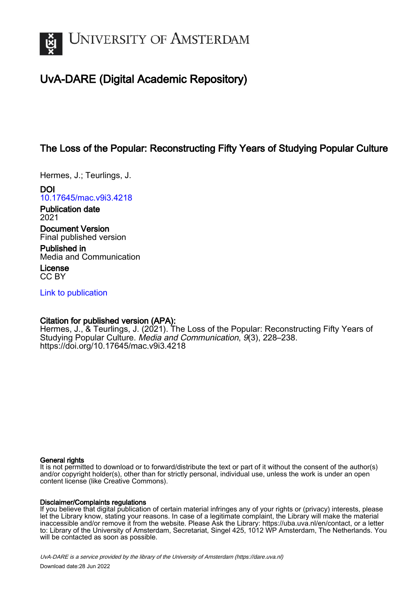

## UvA-DARE (Digital Academic Repository)

## The Loss of the Popular: Reconstructing Fifty Years of Studying Popular Culture

Hermes, J.; Teurlings, J.

DOI [10.17645/mac.v9i3.4218](https://doi.org/10.17645/mac.v9i3.4218)

Publication date 2021

Document Version Final published version

Published in Media and Communication

License CC BY

[Link to publication](https://dare.uva.nl/personal/pure/en/publications/the-loss-of-the-popular-reconstructing-fifty-years-of-studying-popular-culture(c7a1c505-2c63-4dff-8a70-fb50b37bc8f7).html)

### Citation for published version (APA):

Hermes, J., & Teurlings, J. (2021). The Loss of the Popular: Reconstructing Fifty Years of Studying Popular Culture. Media and Communication, 9(3), 228–238. <https://doi.org/10.17645/mac.v9i3.4218>

### General rights

It is not permitted to download or to forward/distribute the text or part of it without the consent of the author(s) and/or copyright holder(s), other than for strictly personal, individual use, unless the work is under an open content license (like Creative Commons).

### Disclaimer/Complaints regulations

If you believe that digital publication of certain material infringes any of your rights or (privacy) interests, please let the Library know, stating your reasons. In case of a legitimate complaint, the Library will make the material inaccessible and/or remove it from the website. Please Ask the Library: https://uba.uva.nl/en/contact, or a letter to: Library of the University of Amsterdam, Secretariat, Singel 425, 1012 WP Amsterdam, The Netherlands. You will be contacted as soon as possible.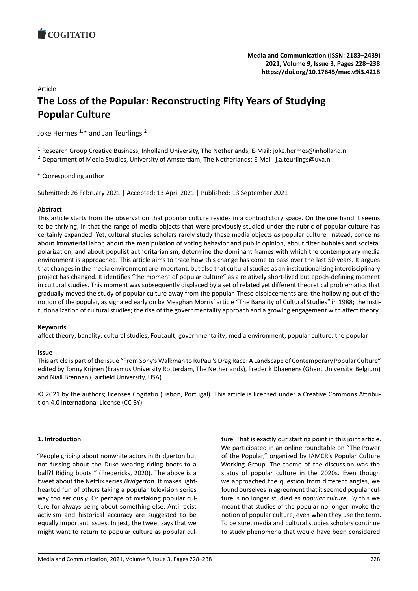### Article

# **The Loss of the Popular: Reconstructing Fifty Ye[ars of Studying](https://doi.org/10.17645/mac.v9i3.4218) Popular Culture**

Joke Hermes  $1, *$  and Jan Teurlings  $2$ 

<sup>1</sup> Research Group Creative Business, Inholland University, The Netherlands; E-Mail: joke.hermes@inholland.nl

<sup>2</sup> Department of Media Studies, University of Amsterdam, The Netherlands; E-Mail: j.a.teurlings@uva.nl

\* Corresponding author

Submitted: 26 February 2021 | Accepted: 13 April 2021 | Published: 13 September 2021

### **Abstract**

This article starts from the observation that popular culture resides in a contradictory space. On the one hand it seems to be thriving, in that the range of media objects that were previously studied under the rubric of popular culture has certainly expanded. Yet, cultural studies scholars rarely study these media objects *as* popular culture. Instead, concerns about immaterial labor, about the manipulation of voting behavior and public opinion, about filter bubbles and societal polarization, and about populist authoritarianism, determine the dominant frames with which the contemporary media environment is approached. This article aims to trace how this change has come to pass over the last 50 years. It argues that changes in the media environment are important, but also that cultural studies as an institutionalizing interdisciplinary project has changed. It identifies "the moment of popular culture" as a relatively short-lived but epoch-defining moment in cultural studies. This moment was subsequently displaced by a set of related yet different theoretical problematics that gradually moved the study of popular culture away from the popular. These displacements are: the hollowing out of the notion of the popular, as signaled early on by Meaghan Morris' article "The Banality of Cultural Studies" in 1988; the institutionalization of cultural studies; the rise of the governmentality approach and a growing engagement with affect theory.

### **Keywords**

affect theory; banality; cultural studies; Foucault; governmentality; media environment; popular culture; the popular

### **Issue**

This article is part of the issue "From Sony's Walkman to RuPaul's Drag Race: A Landscape of Contemporary Popular Culture" edited by Tonny Krijnen (Erasmus University Rotterdam, The Netherlands), Frederik Dhaenens (Ghent University, Belgium) and Niall Brennan (Fairfield University, USA).

© 2021 by the authors; licensee Cogitatio (Lisbon, Portugal). This article is licensed under a Creative Commons Attribu‐ tion 4.0 International License (CC BY).

### **1. Introduction**

"People griping about nonwhite actors in Bridgerton but not fussing about the Duke wearing riding boots to a ball?! Riding boots!" (Fredericks, 2020). The above is a tweet about the Netflix series *Bridgerton*. It makes light‐ hearted fun of others taking a popular television series way too seriously. Or perhaps of mistaking popular culture for always being about something else: Anti-racist activism and historical accuracy are suggested to be equally important issues. In jest, the tweet says that we might want to return to popular culture as popular cul‐ ture. That is exactly our starting point in this joint article. We participated in an online roundtable on "The Power of the Popular," organized by IAMCR's Popular Culture Working Group. The theme of the discussion was the status of popular culture in the 2020s. Even though we approached the question from different angles, we found ourselves in agreement that it seemed popular cul‐ ture is no longer studied as *popular culture*. By this we meant that studies of the popular no longer invoke the notion of popular culture, even when they use the term. To be sure, media and cultural studies scholars continue to study phenomena that would have been considered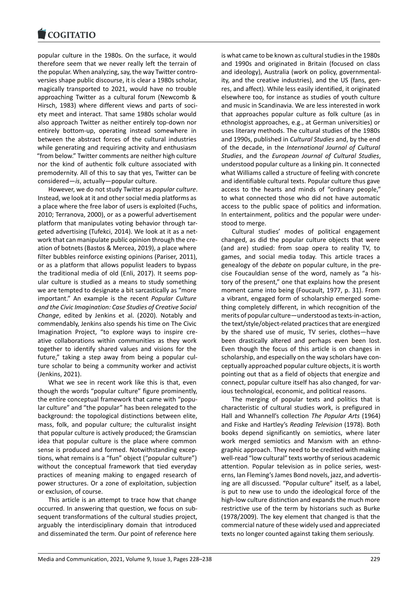popular culture in the 1980s. On the surface, it would [therefore seem that](https://www.cogitatiopress.com) we never really left the terrain of the popular. When analyzing, say, the way Twitter contro‐ versies shape public discourse, it is clear a 1980s scholar, magically transported to 2021, would have no trouble approaching Twitter as a cultural forum (Newcomb & Hirsch, 1983) where different views and parts of soci‐ ety meet and interact. That same 1980s scholar would also approach Twitter as neither entirely top‐down nor entirely bottom‐up, operating instead somewhere in between the abstract forces of the cultural industries while generating and requiring activity and enthusiasm "from below." Twitter comments are neither high culture nor the kind of authentic folk culture associated with premodernity. All of this to say that yes, Twitter can be considered—*is*, actually—popular culture.

However, we do not study Twitter as *popular culture*. Instead, we look at it and other social media platforms as a place where the free labor of users is exploited (Fuchs, 2010; Terranova, 2000), or as a powerful advertisement platform that manipulates voting behavior through tar‐ geted advertising (Tufekci, 2014). We look at it as a net‐ work that can manipulate public opinion through the creation of botnets (Bastos & Mercea, 2019), a place where filter bubbles reinforce existing opinions (Pariser, 2011), or as a platform that allows populist leaders to bypass the traditional media of old (Enli, 2017). It seems pop‐ ular culture is studied as a means to study something we are tempted to designate a bit sarcastically as "more important." An example is the recent *Popular Culture and the Civic Imagination: Case Studies of Creative Social Change*, edited by Jenkins et al. (2020). Notably and commendably, Jenkins also spends his time on The Civic Imagination Project, "to explore ways to inspire cre‐ ative collaborations within communities as they work together to identify shared values and visions for the future," taking a step away from being a popular culture scholar to being a community worker and activist (Jenkins, 2021).

What we see in recent work like this is that, even though the words "popular culture" figure prominently, the entire conceptual framework that came with "popu‐ lar culture" and "the popular" has been relegated to the background: the topological distinctions between elite, mass, folk, and popular culture; the culturalist insight that popular culture is actively produced; the Gramscian idea that popular culture is the place where common sense is produced and formed. Notwithstanding exceptions, what remains is a "fun" object ("popular culture") without the conceptual framework that tied everyday practices of meaning making to engaged research of power structures. Or a zone of exploitation, subjection or exclusion, of course.

This article is an attempt to trace how that change occurred. In answering that question, we focus on sub‐ sequent transformations of the cultural studies project, arguably the interdisciplinary domain that introduced and disseminated the term. Our point of reference here

is what came to be known as cultural studies in the 1980s and 1990s and originated in Britain (focused on class and ideology), Australia (work on policy, governmental‐ ity, and the creative industries), and the US (fans, genres, and affect). While less easily identified, it originated elsewhere too, for instance as studies of youth culture and music in Scandinavia. We are less interested in work that approaches popular culture as folk culture (as in ethnologist approaches, e.g., at German universities) or uses literary methods. The cultural studies of the 1980s and 1990s, published in *Cultural Studies* and, by the end of the decade, in the *International Journal of Cultural Studies*, and the *European Journal of Cultural Studies*, understood popular culture as a linking pin. It connected what Williams called a structure of feeling with concrete and identifiable cultural texts. Popular culture thus gave access to the hearts and minds of "ordinary people," to what connected those who did not have automatic access to the public space of politics and information. In entertainment, politics and the popular were under‐ stood to merge.

Cultural studies' modes of political engagement changed, as did the popular culture objects that were (and are) studied: from soap opera to reality TV, to games, and social media today. This article traces a genealogy of the *debate* on popular culture, in the pre‐ cise Foucauldian sense of the word, namely as "a his‐ tory of the present," one that explains how the present moment came into being (Foucault, 1977, p. 31). From a vibrant, engaged form of scholarship emerged some‐ thing completely different, in which recognition of the merits of popular culture—understood as texts‐in‐action, the text/style/object‐related practices that are energized by the shared use of music, TV series, clothes—have been drastically altered and perhaps even been lost. Even though the focus of this article is on changes in scholarship, and especially on the way scholars have conceptually approached popular culture objects, it is worth pointing out that as a field of objects that energize and connect, popular culture itself has also changed, for var‐ ious technological, economic, and political reasons.

The merging of popular texts and politics that is characteristic of cultural studies work, is prefigured in Hall and Whannell's collection *The Popular Arts* (1964) and Fiske and Hartley's *Reading Television* (1978). Both books depend significantly on semiotics, where later work merged semiotics and Marxism with an ethnographic approach. They need to be credited with making well-read "low cultural" texts worthy of serious academic attention. Popular television as in police series, westerns, Ian Fleming's James Bond novels, jazz, and advertis‐ ing are all discussed. "Popular culture" itself, as a label, is put to new use to undo the ideological force of the high-low culture distinction and expands the much more restrictive use of the term by historians such as Burke (1978/2009). The key element that changed is that the commercial nature of these widely used and appreciated texts no longer counted against taking them seriously.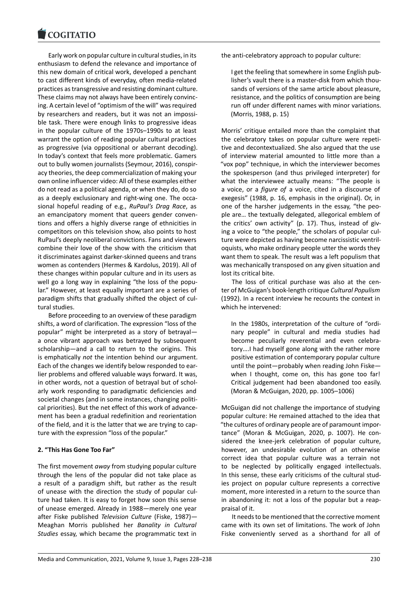Early work on popular culture in cultural studies, in its [enthusiasm to defen](https://www.cogitatiopress.com)d the relevance and importance of this new domain of critical work, developed a penchant to cast different kinds of everyday, often media‐related practices as transgressive and resisting dominant culture. These claims may not always have been entirely convinc‐ ing. A certain level of "optimism of the will" was required by researchers and readers, but it was not an impossi‐ ble task. There were enough links to progressive ideas in the popular culture of the 1970s–1990s to at least warrant the option of reading popular cultural practices as progressive (via oppositional or aberrant decoding). In today's context that feels more problematic. Gamers out to bully women journalists (Seymour, 2016), conspir‐ acy theories, the deep commercialization of making your own online influencer video: All of these examples either do not read as a political agenda, or when they do, do so as a deeply exclusionary and right‐wing one. The occa‐ sional hopeful reading of e.g., *RuPaul's Drag Race*, as an emancipatory moment that queers gender conventions and offers a highly diverse range of ethnicities in competitors on this television show, also points to host RuPaul's deeply neoliberal convictions. Fans and viewers combine their love of the show with the criticism that it discriminates against darker‐skinned queens and trans women as contenders (Hermes & Kardolus, 2019). All of these changes within popular culture and in its users as well go a long way in explaining "the loss of the popular." However, at least equally important are a series of paradigm shifts that gradually shifted the object of cul‐ tural studies.

Before proceeding to an overview of these paradigm shifts, a word of clarification. The expression "loss of the popular" might be interpreted as a story of betrayal a once vibrant approach was betrayed by subsequent scholarship—and a call to return to the origins. This is emphatically *not* the intention behind our argument. Each of the changes we identify below responded to ear‐ lier problems and offered valuable ways forward. It was, in other words, not a question of betrayal but of schol‐ arly work responding to paradigmatic deficiencies and societal changes (and in some instances, changing political priorities). But the net effect of this work of advance‐ ment has been a gradual redefinition and reorientation of the field, and it is the latter that we are trying to cap‐ ture with the expression "loss of the popular."

### **2. "This Has Gone Too Far"**

The first movement *away* from studying popular culture through the lens of the popular did not take place as a result of a paradigm shift, but rather as the result of unease with the direction the study of popular cul‐ ture had taken. It is easy to forget how soon this sense of unease emerged. Already in 1988—merely one year after Fiske published *Television Culture* (Fiske, 1987)— Meaghan Morris published her *Banality in Cultural Studies* essay, which became the programmatic text in

the anti-celebratory approach to popular culture:

I get the feeling that somewhere in some English pub‐ lisher's vault there is a master‐disk from which thou‐ sands of versions of the same article about pleasure, resistance, and the politics of consumption are being run off under different names with minor variations. (Morris, 1988, p. 15)

Morris' critique entailed more than the complaint that the celebratory takes on popular culture were repeti‐ tive and decontextualized. She also argued that the use of interview material amounted to little more than a "vox pop" technique, in which the interviewer becomes the spokesperson (and thus privileged interpreter) for what the interviewee actually means: "The people is a voice, or a *figure of* a voice, cited in a discourse of exegesis" (1988, p. 16, emphasis in the original). Or, in one of the harsher judgements in the essay, "the peo‐ ple are… the textually delegated, allegorical emblem of the critics' own activity" (p. 17). Thus, instead of giv‐ ing a voice to "the people," the scholars of popular cul‐ ture were depicted as having become narcissistic ventril‐ oquists, who make ordinary people utter the words they want them to speak. The result was a left populism that was mechanically transposed on any given situation and lost its critical bite.

The loss of critical purchase was also at the center of McGuigan's book‐length critique *Cultural Populism* (1992). In a recent interview he recounts the context in which he intervened:

In the 1980s, interpretation of the culture of "ordi‐ nary people" in cultural and media studies had become peculiarly reverential and even celebratory….I had myself gone along with the rather more positive estimation of contemporary popular culture until the point—probably when reading John Fiske when I thought, come on, this has gone too far! Critical judgement had been abandoned too easily. (Moran & McGuigan, 2020, pp. 1005–1006)

McGuigan did not challenge the importance of studying popular culture: He remained attached to the idea that "the cultures of ordinary people are of paramount impor‐ tance" (Moran & McGuigan, 2020, p. 1007). He con‐ sidered the knee-jerk celebration of popular culture, however, an undesirable evolution of an otherwise correct idea that popular culture was a terrain not to be neglected by politically engaged intellectuals. In this sense, these early criticisms of the cultural stud‐ ies project on popular culture represents a corrective moment, more interested in a return to the source than in abandoning it: not a loss of the popular but a reap‐ praisal of it.

It needs to be mentioned that the corrective moment came with its own set of limitations. The work of John Fiske conveniently served as a shorthand for all of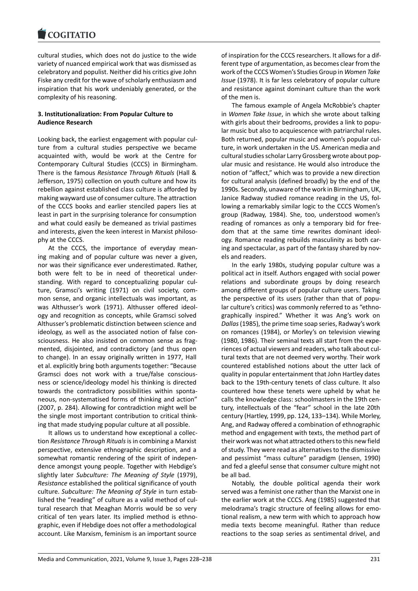cultural studies, which does not do justice to the wide [variety of nuanced em](https://www.cogitatiopress.com)pirical work that was dismissed as celebratory and populist. Neither did his critics give John Fiske any credit for the wave of scholarly enthusiasm and inspiration that his work undeniably generated, or the complexity of his reasoning.

### **3. Institutionalization: From Popular Culture to Audience Research**

Looking back, the earliest engagement with popular cul‐ ture from a cultural studies perspective we became acquainted with, would be work at the Centre for Contemporary Cultural Studies (CCCS) in Birmingham. There is the famous *Resistance Through Rituals* (Hall & Jefferson, 1975) collection on youth culture and how its rebellion against established class culture is afforded by making wayward use of consumer culture. The attraction of the CCCS books and earlier stenciled papers lies at least in part in the surprising tolerance for consumption and what could easily be demeaned as trivial pastimes and interests, given the keen interest in Marxist philosophy at the CCCS.

At the CCCS, the importance of everyday mean‐ ing making and of popular culture was never a given, nor was their significance ever underestimated. Rather, both were felt to be in need of theoretical under‐ standing. With regard to conceptualizing popular cul‐ ture, Gramsci's writing (1971) on civil society, com‐ mon sense, and organic intellectuals was important, as was Althusser's work (1971). Althusser offered ideol‐ ogy and recognition as concepts, while Gramsci solved Althusser's problematic distinction between science and ideology, as well as the associated notion of false con‐ sciousness. He also insisted on common sense as frag‐ mented, disjointed, and contradictory (and thus open to change). In an essay originally written in 1977, Hall et al. explicitly bring both arguments together: "Because Gramsci does not work with a true/false conscious‐ ness or science/ideology model his thinking is directed towards the contradictory possibilities within sponta‐ neous, non‐systematised forms of thinking and action" (2007, p. 284). Allowing for contradiction might well be the single most important contribution to critical think‐ ing that made studying popular culture at all possible.

It allows us to understand how exceptional a collec‐ tion *Resistance Through Rituals*is in combining a Marxist perspective, extensive ethnographic description, and a somewhat romantic rendering of the spirit of indepen‐ dence amongst young people. Together with Hebdige's slightly later *Subculture: The Meaning of Style* (1979), *Resistance* established the political significance of youth culture. *Subculture: The Meaning of Style* in turn estab‐ lished the "reading" of culture as a valid method of cul‐ tural research that Meaghan Morris would be so very critical of ten years later. Its implied method is ethno‐ graphic, even if Hebdige does not offer a methodological account. Like Marxism, feminism is an important source

of inspiration for the CCCS researchers. It allows for a dif‐ ferent type of argumentation, as becomes clear from the work of the CCCS Women's Studies Group in *Women Take Issue* (1978). It is far less celebratory of popular culture and resistance against dominant culture than the work of the men is.

The famous example of Angela McRobbie's chapter in *Women Take Issue*, in which she wrote about talking with girls about their bedrooms, provides a link to popular music but also to acquiescence with patriarchal rules. Both returned, popular music and women's popular cul‐ ture, in work undertaken in the US. American media and cultural studies scholar Larry Grossberg wrote about pop‐ ular music and resistance. He would also introduce the notion of "affect," which was to provide a new direction for cultural analysis (defined broadly) by the end of the 1990s. Secondly, unaware of the work in Birmingham, UK, Janice Radway studied romance reading in the US, fol‐ lowing a remarkably similar logic to the CCCS Women's group (Radway, 1984). She, too, understood women's reading of romances as only a temporary bid for free‐ dom that at the same time rewrites dominant ideol‐ ogy. Romance reading rebuilds masculinity as both car‐ ing and spectacular, as part of the fantasy shared by novels and readers.

In the early 1980s, studying popular culture was a political act in itself. Authors engaged with social power relations and subordinate groups by doing research among different groups of popular culture users. Taking the perspective of its users (rather than that of popu‐ lar culture's critics) was commonly referred to as "ethno‐ graphically inspired." Whether it was Ang's work on *Dallas*(1985), the prime time soap series, Radway's work on romances (1984), or Morley's on television viewing (1980, 1986). Their seminal texts all start from the expe‐ riences of actual viewers and readers, who talk about cul‐ tural texts that are not deemed very worthy. Their work countered established notions about the utter lack of quality in popular entertainment that John Hartley dates back to the 19th‐century tenets of class culture. It also countered how these tenets were upheld by what he calls the knowledge class: schoolmasters in the 19th cen‐ tury, intellectuals of the "fear" school in the late 20th century (Hartley, 1999, pp. 124, 133–134). While Morley, Ang, and Radway offered a combination of ethnographic method and engagement with texts, the method part of their work was not what attracted others to this new field of study. They were read as alternatives to the dismissive and pessimist "mass culture" paradigm (Jensen, 1990) and fed a gleeful sense that consumer culture might not be all bad.

Notably, the double political agenda their work served was a feminist one rather than the Marxist one in the earlier work at the CCCS. Ang (1985) suggested that melodrama's tragic structure of feeling allows for emo‐ tional realism, a new term with which to approach how media texts become meaningful. Rather than reduce reactions to the soap series as sentimental drivel, and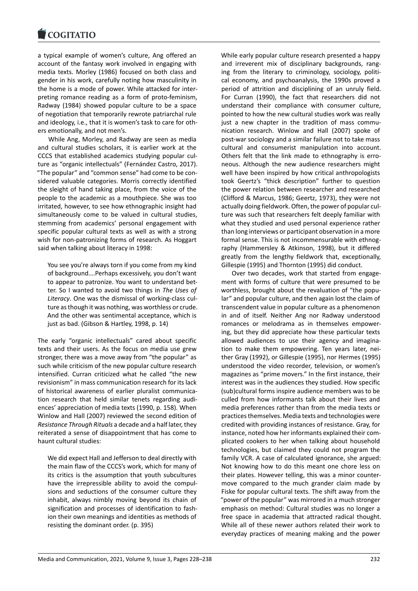a typical example of women's culture, Ang offered an [account of the fanta](https://www.cogitatiopress.com)sy work involved in engaging with media texts. Morley (1986) focused on both class and gender in his work, carefully noting how masculinity in the home is a mode of power. While attacked for inter‐ preting romance reading as a form of proto‐feminism, Radway (1984) showed popular culture to be a space of negotiation that temporarily rewrote patriarchal rule and ideology, i.e., that it is women's task to care for oth‐ ers emotionally, and not men's.

While Ang, Morley, and Radway are seen as media and cultural studies scholars, it is earlier work at the CCCS that established academics studying popular cul‐ ture as "organic intellectuals" (Fernández Castro, 2017). "The popular" and "common sense" had come to be con‐ sidered valuable categories. Morris correctly identified the sleight of hand taking place, from the voice of the people to the academic as a mouthpiece. She was too irritated, however, to see how ethnographic insight had simultaneously come to be valued in cultural studies, stemming from academics' personal engagement with specific popular cultural texts as well as with a strong wish for non-patronizing forms of research. As Hoggart said when talking about literacy in 1998:

You see you're always torn if you come from my kind of background….Perhaps excessively, you don't want to appear to patronize. You want to understand bet‐ ter. So I wanted to avoid two things in *The Uses of Literacy*. One was the dismissal of working‐class cul‐ ture as though it was nothing, was worthless or crude. And the other was sentimental acceptance, which is just as bad. (Gibson & Hartley, 1998, p. 14)

The early "organic intellectuals" cared about specific texts and their users. As the focus on media use grew stronger, there was a move away from "the popular" as such while criticism of the new popular culture research intensified. Curran criticized what he called "the new revisionism" in mass communication research for its lack of historical awareness of earlier pluralist communica‐ tion research that held similar tenets regarding audi‐ ences' appreciation of media texts (1990, p. 158). When Winlow and Hall (2007) reviewed the second edition of *Resistance Through Rituals* a decade and a half later, they reiterated a sense of disappointment that has come to haunt cultural studies:

We did expect Hall and Jefferson to deal directly with the main flaw of the CCCS's work, which for many of its critics is the assumption that youth subcultures have the irrepressible ability to avoid the compul‐ sions and seductions of the consumer culture they inhabit, always nimbly moving beyond its chain of signification and processes of identification to fash‐ ion their own meanings and identities as methods of resisting the dominant order. (p. 395)

While early popular culture research presented a happy and irreverent mix of disciplinary backgrounds, rang‐ ing from the literary to criminology, sociology, political economy, and psychoanalysis, the 1990s proved a period of attrition and disciplining of an unruly field. For Curran (1990), the fact that researchers did not understand their compliance with consumer culture, pointed to how the new cultural studies work was really just a new chapter in the tradition of mass communication research. Winlow and Hall (2007) spoke of post‐war sociology and a similar failure not to take mass cultural and consumerist manipulation into account. Others felt that the link made to ethnography is erro‐ neous. Although the new audience researchers might well have been inspired by how critical anthropologists took Geertz's "thick description" further to question the power relation between researcher and researched (Clifford & Marcus, 1986; Geertz, 1973), they were not actually doing fieldwork. Often, the power of popular cul‐ ture was such that researchers felt deeply familiar with what they studied and used personal experience rather than long interviews or participant observation in a more formal sense. This is not incommensurable with ethnog‐ raphy (Hammersley & Atkinson, 1998), but it differed greatly from the lengthy fieldwork that, exceptionally, Gillespie (1995) and Thornton (1995) did conduct.

Over two decades, work that started from engage‐ ment with forms of culture that were presumed to be worthless, brought about the revaluation of "the popu‐ lar" and popular culture, and then again lost the claim of transcendent value in popular culture as a phenomenon in and of itself. Neither Ang nor Radway understood romances or melodrama as in themselves empower‐ ing, but they did appreciate how these particular texts allowed audiences to use their agency and imagina‐ tion to make them empowering. Ten years later, nei‐ ther Gray (1992), or Gillespie (1995), nor Hermes (1995) understood the video recorder, television, or women's magazines as "prime movers." In the first instance, their interest was in the audiences they studied. How specific (sub)cultural forms inspire audience members was to be culled from how informants talk about their lives and media preferences rather than from the media texts or practices themselves. Media texts and technologies were credited with providing instances of resistance. Gray, for instance, noted how her informants explained their com‐ plicated cookers to her when talking about household technologies, but claimed they could not program the family VCR. A case of calculated ignorance, she argued: Not knowing how to do this meant one chore less on their plates. However telling, this was a minor counter‐ move compared to the much grander claim made by Fiske for popular cultural texts. The shift away from the "power of the popular" was mirrored in a much stronger emphasis on method: Cultural studies was no longer a free space in academia that attracted radical thought. While all of these newer authors related their work to everyday practices of meaning making and the power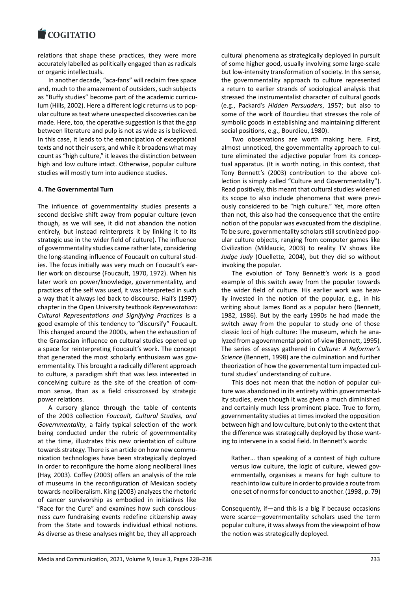#### COGITATIO

relations that shape these practices, they were more [accurately labelled as](https://www.cogitatiopress.com) politically engaged than as radicals or organic intellectuals.

In another decade, "aca‐fans" will reclaim free space and, much to the amazement of outsiders, such subjects as "Buffy studies" become part of the academic curricu‐ lum (Hills, 2002). Here a different logic returns us to pop‐ ular culture as text where unexpected discoveries can be made. Here, too, the operative suggestion is that the gap between literature and pulp is not as wide as is believed. In this case, it leads to the emancipation of exceptional texts and not their users, and while it broadens what may count as "high culture," it leaves the distinction between high and low culture intact. Otherwise, popular culture studies will mostly turn into audience studies.

### **4. The Governmental Turn**

The influence of governmentality studies presents a second decisive shift away from popular culture (even though, as we will see, it did not abandon the notion entirely, but instead reinterprets it by linking it to its strategic use in the wider field of culture). The influence of governmentality studies came rather late, considering the long‐standing influence of Foucault on cultural stud‐ ies. The focus initially was very much on Foucault's ear‐ lier work on discourse (Foucault, 1970, 1972). When his later work on power/knowledge, governmentality, and practices of the self was used, it was interpreted in such a way that it always led back to discourse. Hall's (1997) chapter in the Open University textbook *Representation: Cultural Representations and Signifying Practices* is a good example of this tendency to "discursify" Foucault. This changed around the 2000s, when the exhaustion of the Gramscian influence on cultural studies opened up a space for reinterpreting Foucault's work. The concept that generated the most scholarly enthusiasm was governmentality. This brought a radically different approach to culture, a paradigm shift that was less interested in conceiving culture as the site of the creation of com‐ mon sense, than as a field crisscrossed by strategic power relations.

A cursory glance through the table of contents of the 2003 collection *Foucault, Cultural Studies, and Governmentality*, a fairly typical selection of the work being conducted under the rubric of governmentality at the time, illustrates this new orientation of culture towards strategy. There is an article on how new commu‐ nication technologies have been strategically deployed in order to reconfigure the home along neoliberal lines (Hay, 2003). Coffey (2003) offers an analysis of the role of museums in the reconfiguration of Mexican society towards neoliberalism. King (2003) analyzes the rhetoric of cancer survivorship as embodied in initiatives like "Race for the Cure" and examines how such conscious‐ ness *cum* fundraising events redefine citizenship away from the State and towards individual ethical notions. As diverse as these analyses might be, they all approach

cultural phenomena as strategically deployed in pursuit of some higher good, usually involving some large‐scale but low‐intensity transformation of society. In this sense, the governmentality approach to culture represented a return to earlier strands of sociological analysis that stressed the instrumentalist character of cultural goods (e.g., Packard's *Hidden Persuaders*, 1957; but also to some of the work of Bourdieu that stresses the role of symbolic goods in establishing and maintaining different social positions, e.g., Bourdieu, 1980).

Two observations are worth making here. First, almost unnoticed, the governmentality approach to cul‐ ture eliminated the adjective popular from its concep‐ tual apparatus. (It is worth noting, in this context, that Tony Bennett's (2003) contribution to the above col‐ lection is simply called "Culture and Governmentality"). Read positively, this meant that cultural studies widened its scope to also include phenomena that were previ‐ ously considered to be "high culture." Yet, more often than not, this also had the consequence that the entire notion of the popular was evacuated from the discipline. To be sure, governmentality scholars still scrutinized pop‐ ular culture objects, ranging from computer games like Civilization (Miklaucic, 2003) to reality TV shows like *Judge Judy* (Ouellette, 2004), but they did so without invoking the popular.

The evolution of Tony Bennett's work is a good example of this switch away from the popular towards the wider field of culture. His earlier work was heavily invested in the notion of the popular, e.g., in his writing about James Bond as a popular hero (Bennett, 1982, 1986). But by the early 1990s he had made the switch away from the popular to study one of those classic loci of high culture: The museum, which he ana‐ lyzed from a governmental point‐of‐view (Bennett, 1995). The series of essays gathered in *Culture: A Reformer's Science* (Bennett, 1998) are the culmination and further theorization of how the governmental turn impacted cul‐ tural studies' understanding of culture.

This does not mean that the notion of popular cul‐ ture was abandoned in its entirety within governmentality studies, even though it was given a much diminished and certainly much less prominent place. True to form, governmentality studies at times invoked the opposition between high and low culture, but only to the extent that the difference was strategically deployed by those want‐ ing to intervene in a social field. In Bennett's words:

Rather… than speaking of a contest of high culture versus low culture, the logic of culture, viewed governmentally, organises a means for high culture to reach into low culture in order to provide a route from one set of norms for conduct to another. (1998, p. 79)

Consequently, if—and this is a big if because occasions were scarce—governmentality scholars used the term popular culture, it was always from the viewpoint of how the notion was strategically deployed.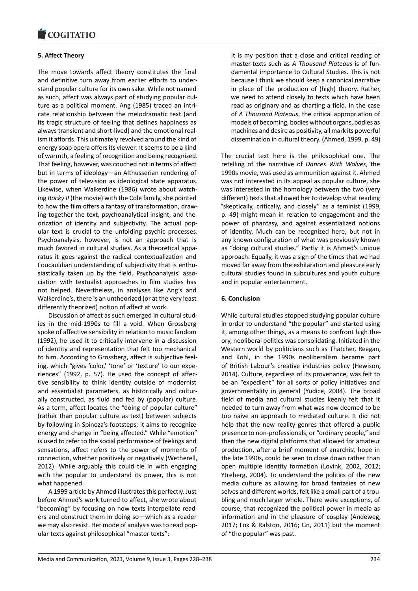#### COQUIATIO

### **5. Affect Theory**

[The move towards](https://www.cogitatiopress.com) affect theory constitutes the final and definitive turn away from earlier efforts to under‐ stand popular culture for its own sake. While not named as such, affect was always part of studying popular cul‐ ture as a political moment. Ang (1985) traced an intri‐ cate relationship between the melodramatic text (and its tragic structure of feeling that defines happiness as always transient and short‐lived) and the emotional real‐ ism it affords. This ultimately revolved around the kind of energy soap opera offers its viewer: It seems to be a kind of warmth, a feeling of recognition and being recognized. That feeling, however, was couched not in terms of affect but in terms of ideology—an Althusserian rendering of the power of television as ideological state apparatus. Likewise, when Walkerdine (1986) wrote about watch‐ ing *Rocky II* (the movie) with the Cole family, she pointed to how the film offers a fantasy of transformation, draw‐ ing together the text, psychoanalytical insight, and the‐ orization of identity and subjectivity. The actual pop‐ ular text is crucial to the unfolding psychic processes. Psychoanalysis, however, is not an approach that is much favored in cultural studies. As a theoretical appa‐ ratus it goes against the radical contextualization and Foucauldian understanding of subjectivity that is enthu‐ siastically taken up by the field. Psychoanalysis' association with textualist approaches in film studies has not helped. Nevertheless, in analyses like Ang's and Walkerdine's, there is an untheorized (or at the very least differently theorized) notion of affect at work.

Discussion of affect as such emerged in cultural stud‐ ies in the mid‐1990s to fill a void. When Grossberg spoke of affective sensibility in relation to music fandom (1992), he used it to critically intervene in a discussion of identity and representation that felt too mechanical to him. According to Grossberg, affect is subjective feel‐ ing, which "gives 'color,' 'tone' or 'texture' to our experiences" (1992, p. 57). He used the concept of affec‐ tive sensibility to think identity outside of modernist and essentialist parameters, as historically and cultur‐ ally constructed, as fluid and fed by (popular) culture. As a term, affect locates the "doing of popular culture" (rather than popular culture as text) between subjects by following in Spinoza's footsteps; it aims to recognize energy and change in "being affected." While "emotion" is used to refer to the social performance of feelings and sensations, affect refers to the power of moments of connection, whether positively or negatively (Wetherell, 2012). While arguably this could tie in with engaging with the popular to understand its power, this is not what happened.

A 1999 article by Ahmed illustrates this perfectly. Just before Ahmed's work turned to affect, she wrote about "becoming" by focusing on how texts interpellate read‐ ers and construct them in doing so—which as a reader we may also resist. Her mode of analysis was to read pop‐ ular texts against philosophical "master texts":

It is my position that a close and critical reading of master‐texts such as *A Thousand Plateaus* is of fun‐ damental importance to Cultural Studies. This is not because I think we should keep a canonical narrative in place of the production of (high) theory. Rather, we need to attend closely to texts which have been read as originary and as charting a field. In the case of *A Thousand Plateaus*, the critical appropriation of models of becoming, bodies without organs, bodies as machines and desire as positivity, all mark its powerful dissemination in cultural theory. (Ahmed, 1999, p. 49)

The crucial text here is the philosophical one. The retelling of the narrative of *Dances With Wolves*, the 1990s movie, was used as ammunition against it. Ahmed was not interested in its appeal as popular culture, she was interested in the homology between the two (very different) texts that allowed her to develop what reading "skeptically, critically, and closely" as a feminist (1999, p. 49) might mean in relation to engagement and the power of phantasy, and against essentialized notions of identity. Much can be recognized here, but not in any known configuration of what was previously known as "doing cultural studies." Partly it is Ahmed's unique approach. Equally, it was a sign of the times that we had moved far away from the exhilaration and pleasure early cultural studies found in subcultures and youth culture and in popular entertainment.

### **6. Conclusion**

While cultural studies stopped studying popular culture in order to understand "the popular" and started using it, among other things, as a means to confront high the‐ ory, neoliberal politics was consolidating. Initiated in the Western world by politicians such as Thatcher, Reagan, and Kohl, in the 1990s neoliberalism became part of British Labour's creative industries policy (Hewison, 2014). Culture, regardless of its provenance, was felt to be an "expedient" for all sorts of policy initiatives and governmentality in general (Yudice, 2004). The broad field of media and cultural studies keenly felt that it needed to turn away from what was now deemed to be too naive an approach to mediated culture. It did not help that the new reality genres that offered a public presence to non‐professionals, or "ordinary people," and then the new digital platforms that allowed for amateur production, after a brief moment of anarchist hope in the late 1990s, could be seen to close down rather than open multiple identity formation (Lovink, 2002, 2012; Ytreberg, 2004). To understand the politics of the new media culture as allowing for broad fantasies of new selves and different worlds, felt like a small part of a troubling and much larger whole. There were exceptions, of course, that recognized the political power in media as information and in the pleasure of cosplay (Andeweg, 2017; Fox & Ralston, 2016; Gn, 2011) but the moment of "the popular" was past.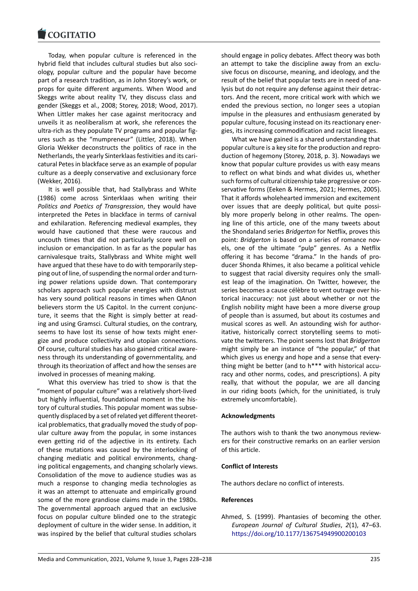Today, when popular culture is referenced in the [hybrid field that incl](https://www.cogitatiopress.com)udes cultural studies but also soci‐ ology, popular culture and the popular have become part of a research tradition, as in John Storey's work, or props for quite different arguments. When Wood and Skeggs write about reality TV, they discuss class and gender (Skeggs et al., 2008; Storey, 2018; Wood, 2017). When Littler makes her case against meritocracy and unveils it as neoliberalism at work, she references the ultra‐rich as they populate TV programs and popular fig‐ ures such as the "mumpreneur" (Littler, 2018). When Gloria Wekker deconstructs the politics of race in the Netherlands, the yearly Sinterklaas festivities and its cari‐ catural Petes in blackface serve as an example of popular culture as a deeply conservative and exclusionary force (Wekker, 2016).

It is well possible that, had Stallybrass and White (1986) come across Sinterklaas when writing their *Politics and Poetics of Transgression*, they would have interpreted the Petes in blackface in terms of carnival and exhilaration. Referencing medieval examples, they would have cautioned that these were raucous and uncouth times that did not particularly score well on inclusion or emancipation. In as far as the popular has carnivalesque traits, Stallybrass and White might well have argued that these have to do with temporarily stepping out of line, of suspending the normal order and turn‐ ing power relations upside down. That contemporary scholars approach such popular energies with distrust has very sound political reasons in times when QAnon believers storm the US Capitol. In the current conjunc‐ ture, it seems that the Right is simply better at read‐ ing and using Gramsci. Cultural studies, on the contrary, seems to have lost its sense of how texts might ener‐ gize and produce collectivity and utopian connections. Of course, cultural studies has also gained critical aware‐ ness through its understanding of governmentality, and through its theorization of affect and how the senses are involved in processes of meaning making.

What this overview has tried to show is that the "moment of popular culture" was a relatively short‐lived but highly influential, foundational moment in the his‐ tory of cultural studies. This popular moment was subse‐ quently displaced by a set of related yet different theoret‐ ical problematics, that gradually moved the study of pop‐ ular culture away from the popular, in some instances even getting rid of the adjective in its entirety. Each of these mutations was caused by the interlocking of changing mediatic and political environments, chang‐ ing political engagements, and changing scholarly views. Consolidation of the move to audience studies was as much a response to changing media technologies as it was an attempt to attenuate and empirically ground some of the more grandiose claims made in the 1980s. The governmental approach argued that an exclusive focus on popular culture blinded one to the strategic deployment of culture in the wider sense. In addition, it was inspired by the belief that cultural studies scholars

should engage in policy debates. Affect theory was both an attempt to take the discipline away from an exclu‐ sive focus on discourse, meaning, and ideology, and the result of the belief that popular texts are in need of ana‐ lysis but do not require any defense against their detrac‐ tors. And the recent, more critical work with which we ended the previous section, no longer sees a utopian impulse in the pleasures and enthusiasm generated by popular culture, focusing instead on its reactionary ener‐ gies, its increasing commodification and racist lineages.

What we have gained is a shared understanding that popular culture is a key site for the production and repro‐ duction of hegemony (Storey, 2018, p. 3). Nowadays we know that popular culture provides us with easy means to reflect on what binds and what divides us, whether such forms of cultural citizenship take progressive or conservative forms (Eeken & Hermes, 2021; Hermes, 2005). That it affords wholehearted immersion and excitement over issues that are deeply political, but quite possibly more properly belong in other realms. The opening line of this article, one of the many tweets about the Shondaland series *Bridgerton* for Netflix, proves this point: *Bridgerton* is based on a series of romance novels, one of the ultimate "pulp" genres. As a Netflix offering it has become "drama." In the hands of pro‐ ducer Shonda Rhimes, it also became a political vehicle to suggest that racial diversity requires only the small‐ est leap of the imagination. On Twitter, however, the series becomes a cause célèbre to vent outrage over his‐ torical inaccuracy: not just about whether or not the English nobility might have been a more diverse group of people than is assumed, but about its costumes and musical scores as well. An astounding wish for author‐ itative, historically correct storytelling seems to motivate the twitterers. The point seems lost that *Bridgerton* might simply be an instance of "the popular," of that which gives us energy and hope and a sense that every‐ thing might be better (and to h\*\*\* with historical accu‐ racy and other norms, codes, and prescriptions). A pity really, that without the popular, we are all dancing in our riding boots (which, for the uninitiated, is truly extremely uncomfortable).

### **Acknowledgments**

The authors wish to thank the two anonymous review‐ ers for their constructive remarks on an earlier version of this article.

### **Conflict of Interests**

The authors declare no conflict of interests.

### **References**

Ahmed, S. (1999). Phantasies of becoming the other. *European Journal of Cultural Studies*, *2*(1), 47–63. https://doi.org/10.1177/136754949900200103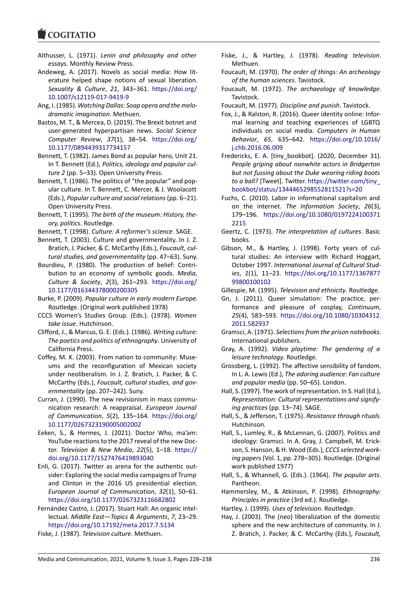- Althusser, L. (1971). *Lenin and philosophy and other essays*. Monthly Review Press.
- [Andeweg, A. \(2017\)](https://www.cogitatiopress.com). Novels as social media: How lit‐ erature helped shape notions of sexual liberation. *Sexuality & Culture*, *21*, 343–361. https://doi.org/ 10.1007/s12119‐017‐9419‐9
- Ang, I. (1985). *Watching Dallas: Soap opera and the melo‐ dramatic imagination*. Methuen.
- Bastos, M. T., & Mercea, D. (2019). The B[rexit botnet and](https://doi.org/10.1007/s12119-017-9419-9) [user‐generated hyperpartisa](https://doi.org/10.1007/s12119-017-9419-9)n news. *Social Science Computer Review*, *37*(1), 38–54. https://doi.org/ 10.1177/0894439317734157
- Bennett, T. (1982). James Bond as popular hero, Unit 21. In T. Bennett (Ed.), *Politics, ideology and popular cul‐ ture 2* (pp. 5–33). Open University Pr[ess.](https://doi.org/10.1177/0894439317734157)
- Be[nnett, T. \(1986\). The politics of](https://doi.org/10.1177/0894439317734157) "the popular" and pop‐ ular culture. In T. Bennett, C. Mercer, & J. Woolacott (Eds.), *Popular culture and social relations* (pp. 6–21). Open University Press.
- Bennett, T. (1995). *The birth of the museum: History, the‐ ory, politics*. Routledge.
- Bennett, T. (1998). *Culture: A reformer's science*. SAGE.
- Bennett, T. (2003). Culture and governmentality. In J. Z. Bratich, J. Packer, & C. McCarthy (Eds.), *Foucault, cul‐ tural studies, and governmentality* (pp. 47–63). Suny.
- Bourdieu, P. (1980). The production of belief: Contri‐ bution to an economy of symbolic goods. *Media, Culture & Society*, *2*(3), 261–293. https://doi.org/ 10.1177/016344378000200305
- Burke, P. (2009). *Popular culture in early modern Europe.* Routledge. (Original work published 1978)
- CCCS Women's Studies Group. (Eds.). (1978). *[Women](https://doi.org/10.1177/016344378000200305) take issue*[. Hutchinson.](https://doi.org/10.1177/016344378000200305)
- Clifford, J., & Marcus, G. E. (Eds.). (1986). *Writing culture: The poetics and politics of ethnography*. University of California Press.
- Coffey, M. K. (2003). From nation to community: Muse‐ ums and the reconfiguration of Mexican society under neoliberalism. In J. Z. Bratich, J. Packer, & C. McCarthy (Eds.), *Foucault, cultural studies, and gov‐ ernmentality* (pp. 207–242). Suny.
- Curran, J. (1990). The new revisionism in mass commu‐ nication research: A reappraisal. *European Journal of Communication*, *5*(2), 135–164. https://doi.org/ 10.1177/0267323190005002002
- Eeken, S., & Hermes, J. (2021). Doctor Who, ma'am: YouTube reactions to the 2017 reveal of the new Doc‐ tor. *Television & New Media*, *22*(5), 1–18. [https://](https://doi.org/10.1177/0267323190005002002) [doi.org/10.1177/1527476419893](https://doi.org/10.1177/0267323190005002002)040
- Enli, G. (2017). Twitter as arena for the authentic out‐ sider: Exploring the social media campaigns of Trump and Clinton in the 2016 US presidential [election.](https://doi.org/10.1177/1527476419893040) *[European Journal of Communication](https://doi.org/10.1177/1527476419893040)*, *32*(1), 50–61. https://doi.org/10.1177/0267323116682802
- Fernández Castro, J. (2017). Stuart Hall: An organic intel‐ lectual. *Middle East—Topics & Arguments*, *7*, 23–29. https://doi.org/10.17192/meta.2017.7.5134
- Fiske, J. (1987). *[Television culture](https://doi.org/10.1177/0267323116682802)*. Methuen.
- Fiske, J., & Hartley, J. (1978). *Reading television*. Methuen.
- Foucault, M. (1970). *The order of things: An archeology of the human sciences*. Tavistock.
- Foucault, M. (1972). *The archaeology of knowledge*. Tavistock.
- Foucault, M. (1977). *Discipline and punish*. Tavistock.
- Fox, J., & Ralston, R. (2016). Queer identity online: Infor‐ mal learning and teaching experiences of LGBTQ individuals on social media. *Computers in Human Behavior*, *65*, 635–642. https://doi.org/10.1016/ j.chb.2016.06.009
- Fredericks, E. A. [tiny\_bookbot]. (2020, December 31). *People griping about nonwhite actors in Bridgerton but not fussing about the D[uke wearing riding boots](https://doi.org/10.1016/j.chb.2016.06.009) [to a ball?](https://doi.org/10.1016/j.chb.2016.06.009)* [Tweet]. Twitter. https://twitter.com/tiny\_ bookbot/status/1344465298552811521?s=20
- Fuchs, C. (2010). Labor in informational capitalism and on the internet. *The Information Society*, *26*(3), 179–196. https://doi.org[/10.1080/0197224100371](https://twitter.com/tiny_bookbot/status/1344465298552811521?s=20) [2215](https://twitter.com/tiny_bookbot/status/1344465298552811521?s=20)
- Geertz, C. (1973). *The interpretation of cultures*. Basic books.
- Gibson, M., [& Hartley, J. \(1998\). Forty years of cul‐](https://doi.org/10.1080/01972241003712215) [tural](https://doi.org/10.1080/01972241003712215) studies: An interview with Richard Hoggart, October 1997. *International Journal of Cultural Stud‐ ies*, *1*(1), 11–23. https://doi.org/10.1177/1367877 99800100102
- Gillespie, M. (1995). *Television and ethnicity*. Routledge.
- Gn, J. (2011). Queer simulation: The practice, per‐ formance and p[leasure of cosplay,](https://doi.org/10.1177/136787799800100102) *Continuum*, *25*[\(4\), 583–59](https://doi.org/10.1177/136787799800100102)3. https://doi.org/10.1080/10304312. 2011.582937
- Gramsci, A. (1971). *Selections from the prison notebooks*. International publishers.
- Gray, A. (1992). *Vi[deo playtime: The gendering of a](https://doi.org/10.1080/10304312.2011.582937) [leisure techno](https://doi.org/10.1080/10304312.2011.582937)logy*. Routledge.
- Grossberg, L. (1992). The affective sensibility of fandom. In L. A. Lewis (Ed.), *The adoring audience: Fan culture and popular media* (pp. 50–65). London.
- Hall, S. (1997). The work of representation. In S. Hall (Ed.), *Representation: Cultural representations and signify‐ ing practices* (pp. 13–74). SAGE.
- Hall, S., & Jefferson, T. (1975). *Resistance through rituals*. Hutchinson.
- Hall, S., Lumley, R., & McLennan, G. (2007). Politics and ideology: Gramsci. In A. Gray, J. Campbell, M. Erick‐ son, S. Hanson, & H. Wood (Eds.), *CCCS selected work‐ ing papers*(Vol. 1, pp. 278–305). Routledge. (Original work published 1977)
- Hall, S., & Whannell, G. (Eds.). (1964). *The popular arts*. Pantheon.
- Hammersley, M., & Atkinson, P. (1998). *Ethnography: Principles in practice* (3rd ed.). Routledge.
- Hartley, J. (1999). *Uses of television*. Routledge.
- Hay, J. (2003). The (neo) liberalization of the domestic sphere and the new architecture of community. In J. Z. Bratich, J. Packer, & C. McCarthy (Eds.), *Foucault,*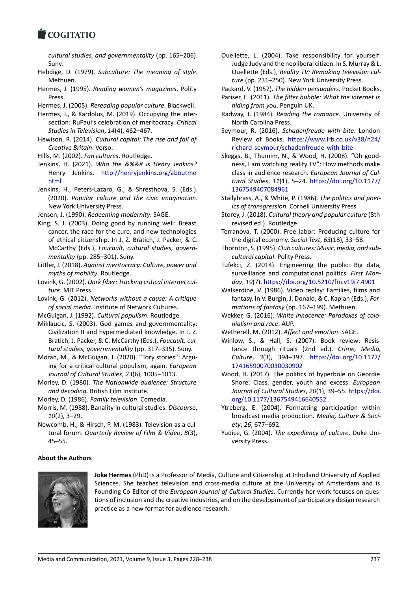*cultural studies, and governmentality* (pp. 165–206). Suny.

- [Hebdige, D. \(1979\).](https://www.cogitatiopress.com) *Subculture: The meaning of style*. Methuen.
- Hermes, J. (1995). *Reading women's magazines*. Polity Press.
- Hermes, J. (2005). *Rereading popular culture*. Blackwell.
- Hermes, J., & Kardolus, M. (2019). Occupying the inter‐ section: RuPaul's celebration of meritocracy. *Critical Studies in Television*, *14*(4), 462–467.
- Hewison, R. (2014). *Cultural capital: The rise and fall of Creative Britain*. Verso.
- Hills, M. (2002). *Fan cultures*. Routledge.
- Jenkins, H. (2021). *Who the &%&# is Henry Jenkins?* Henry Jenkins. http://henryjenkins.org/aboutme html
- Jenkins, H., Peters‐Lazaro, G., & Shresthova, S. (Eds.). (2020). *Popular culture and the civic imagination*. New York Universi[ty Press.](http://henryjenkins.org/aboutmehtml)
- Jen[sen, J](http://henryjenkins.org/aboutmehtml). (1990). *Redeeming modernity*. SAGE.
- King, S. J. (2003). Doing good by running well: Breast cancer, the race for the cure, and new technologies of ethical citizenship. In J. Z. Bratich, J. Packer, & C. McCarthy (Eds.), *Foucault, cultural studies, govern‐ mentality* (pp. 285–301). Suny.
- Littler, J. (2018). *Against meritocracy: Culture, power and myths of mobility*. Routledge.
- Lovink, G. (2002). *Dark fiber: Tracking critical internet cul‐ ture*. MIT Press.
- Lovink, G. (2012). *Networks without a cause: A critique of social media*. Institute of Network Cultures.
- McGuigan, J. (1992). *Cultural populism*. Routledge.
- Miklaucic, S. (2003). God games and governmentality: Civilization II and hypermediated knowledge. In J. Z. Bratich, J. Packer, & C. McCarthy (Eds.), *Foucault, cul‐ tural studies, governmentality* (pp. 317–335). Suny.
- Moran, M., & McGuigan, J. (2020). "Tory stories": Arguing for a critical cultural populism, again. *European Journal of Cultural Studies*, *23*(6), 1005–1013.
- Morley, D. (1980). *The Nationwide audience: Structure and decoding*. British Film Institute.

Morley, D. (1986). *Family television*. Comedia.

- Morris, M. (1988). Banality in cultural studies. *Discourse*, *10*(2), 3–29.
- Newcomb, H., & Hirsch, P. M. (1983). Television as a cul‐ tural forum. *Quarterly Review of Film & Video*, *8*(3), 45–55.

### Ouellette, L. (2004). Take responsibility for yourself: Judge Judy and the neoliberal citizen. In S. Murray & L. Ouellette (Eds.), *Reality TV: Remaking television cul‐ ture* (pp. 231–250). New York University Press.

Packard, V. (1957). *The hidden persuaders*. Pocket Books.

- Pariser, E. (2011). *The filter bubble: What the internet is hiding from you*. Penguin UK.
- Radway, J. (1984). *Reading the romance*. University of North Carolina Press.
- Seymour, R. (2016). *Schadenfreude with bite*. London Review of Books. https://www.lrb.co.uk/v38/n24/ richard‐seymour/schadenfreude‐with‐bite
- Skeggs, B., Thumim, N., & Wood, H. (2008). "Oh good‐ ness, I am watching reality TV": How methods make class in audience research. *[European Journal of Cul‐](https://www.lrb.co.uk/v38/n24/richard-seymour/schadenfreude-with-bite) tural Studies*, *11*(1), 5–24. [https://doi.org/](https://www.lrb.co.uk/v38/n24/richard-seymour/schadenfreude-with-bite)10.1177/ 1367549407084961
- Stallybrass, A., & White, P. (1986). *The politics and poet‐ ics of transgression*. Cornell University Press.
- Storey, J. (2018). *Cultural theor[y and popular culture](https://doi.org/10.1177/1367549407084961)* (8th [revised ed.\). Routled](https://doi.org/10.1177/1367549407084961)ge.
- Terranova, T. (2000). Free labor: Producing culture for the digital economy. *Social Text*, *63*(18), 33–58.
- Thornton, S. (1995). *Club cultures: Music, media, and sub‐ cultural capital*. Polity Press.
- Tufekci, Z. (2014). Engineering the public: Big data, surveillance and computational politics. *First Mon‐ day*, *19*(7). https://doi.org/10.5210/fm.v19i7.4901
- Walkerdine, V. (1986). Video replay: Families, films and fantasy. In V. Burgin, J. Donald, & C. Kaplan (Eds.), *For‐ mations of fantasy* (pp. 167–199). Methuen.
- Wekker, G. (2016). *[White innocence: Paradoxes of col](https://doi.org/10.5210/fm.v19i7.4901)o‐ nialism and race*. AUP.
- Wetherell, M. (2012). *Affect and emotion*. SAGE.
- Winlow, S., & Hall, S. (2007). Book review: Resistance through rituals (2nd ed.). *Crime, Media, Culture*, *3*(3), 394–397. https://doi.org/10.1177/ 17416590070030030902
- Wood, H. (2017). The politics of hyperbole on Geordie Shore: Class, gender, youth and excess. *European Journal of Cultural Studies*, *20*(1), 39–55. [https://doi.](https://doi.org/10.1177/17416590070030030902) [org/10.1177/1367549416](https://doi.org/10.1177/17416590070030030902)640552
- Ytreberg, E. (2004). Formatting participation within broadcast media production. *Media, Culture & Soci‐ ety*, *26*, 677–692.
- Yudice, G. (2004). *[The expediency of](https://doi.org/10.1177/1367549416640552) culture*[. Duke Uni‐](https://doi.org/10.1177/1367549416640552) versity Press.

### **About the Authors**



**Joke Hermes** (PhD) is a Professor of Media, Culture and Citizenship at Inholland University of Applied Sciences. She teaches television and cross-media culture at the University of Amsterdam and is Founding Co-Editor of the *European Journal of Cultural Studies*. Currently her work focuses on questions of inclusion and the creative industries, and on the development of participatory design research practice as a new format for audience research.